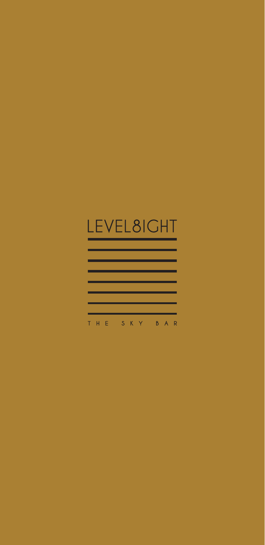# LEVEL8IGHT

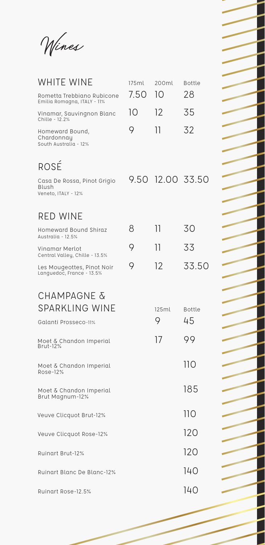Wines

| <b>WHITE WINE</b>                                           | 175ml | 200ml            | <b>Bottle</b>       |
|-------------------------------------------------------------|-------|------------------|---------------------|
| Rometta Trebbiano Rubicone<br>Emilia Romagna, ITALY - 11%   | 7.50  | 10               | 28                  |
| Vinamar, Sauvingnon Blanc<br>Chille - 12.2%                 | 10    | 12               | 35                  |
| Homeward Bound,<br>Chardonnay<br>South Australia - 12%      | 9     | 11               | 32                  |
| ROSÉ                                                        |       |                  |                     |
| Casa De Rossa, Pinot Grigio<br>Blush<br>Veneto, ITALY - 12% |       | 9.50 12.00 33.50 |                     |
| <b>RED WINE</b>                                             |       |                  |                     |
| Homeward Bound Shiraz<br>Australia - 12.5%                  | 8     | 11               | 30                  |
| Vinamar Merlot<br>Central Valley, Chille - 13.5%            | 9     | 11               | 33                  |
| Les Mougeottes, Pinot Noir<br>Languedoc, France - 13.5%     | 9     | 12               | 33.50               |
| CHAMPAGNE &<br><b>SPARKLING WINE</b>                        |       | 125ml<br>9       | <b>Bottle</b><br>45 |
| Galanti Prosseco-11%<br>Moet & Chandon Imperial<br>Brut-12% |       | 17               | 99                  |
| Moet & Chandon Imperial<br>Rose-12%                         |       |                  | 110                 |
| Moet & Chandon Imperial<br>Brut Magnum-12%                  |       |                  | 185                 |
| Veuve Clicquot Brut-12%                                     |       |                  | 110                 |
| Veuve Clicquot Rose-12%                                     |       |                  | 120                 |
| Ruinart Brut-12%                                            |       |                  | 120                 |
| Ruinart Blanc De Blanc-12%                                  |       |                  | 140                 |
| Ruinart Rose-12.5%                                          |       |                  | 14 O                |
|                                                             |       |                  |                     |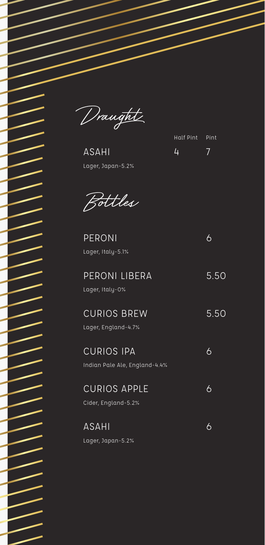Draught

ASAHI Lager, Japan-5.2%

Half Pint Pint 4 7

Bottles

PERONI 6 Lager, Italy-5.1%

| PERONI LIBERA<br>Lager, Italy-0%                   | 5.50 |
|----------------------------------------------------|------|
| <b>CURIOS BREW</b><br>Lager, England-4.7%          | 5.50 |
| <b>CURIOS IPA</b><br>Indian Pale Ale, England-4.4% | 6    |
| <b>CURIOS APPLE</b><br>Cider, England-5.2%         | 6    |
| <b>ASAHI</b><br>Lager, Japan-5.2%                  |      |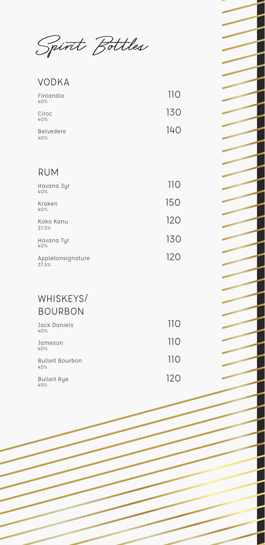Spirit Bottles

#### VODKA

| Finlandia<br>40% | 110 |
|------------------|-----|
| Ciroc<br>40%     | 130 |
| Belvedere<br>40% | 140 |

#### RUM

| 110 |
|-----|
| 150 |
| 120 |
| 130 |
| 120 |
|     |

#### WHISKEYS/ BOURBON

| Jack Daniels<br>40%           | 11 O |
|-------------------------------|------|
| Jameson<br>40%                | 110  |
| <b>Bulleit Bourbon</b><br>45% | 110  |
| <b>Bulleit Rye</b><br>45%     | 120  |